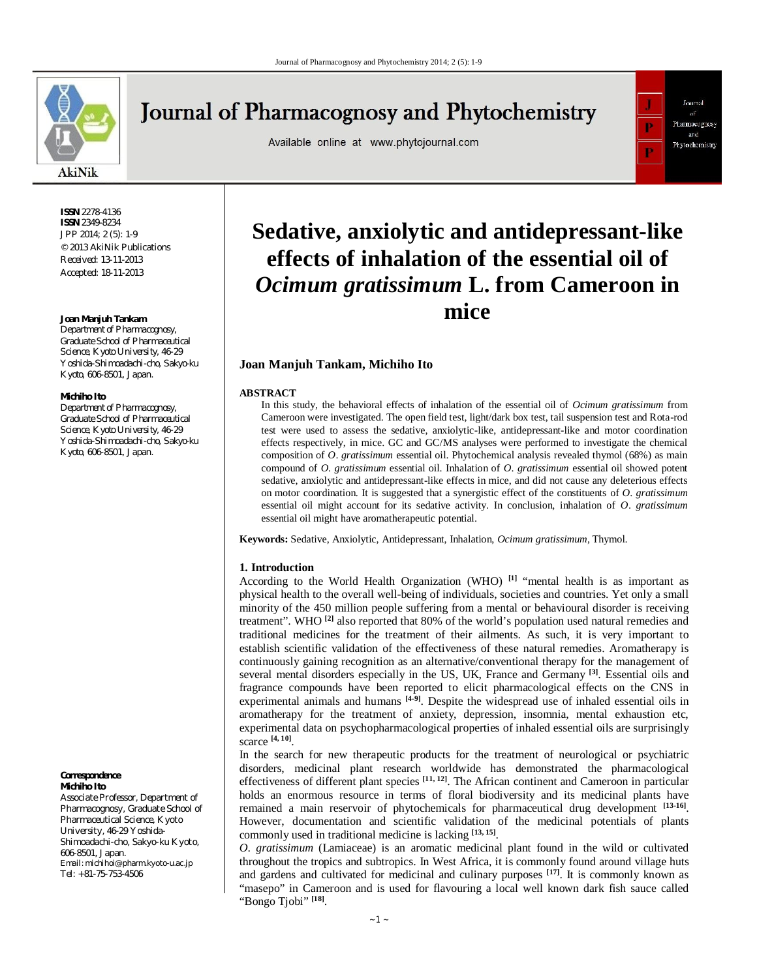

## **Journal of Pharmacognosy and Phytochemistry**

Available online at www.phytojournal.com



**ISSN** 2278-4136 **ISSN** 2349-8234 JPP 2014; 2 (5): 1-9 © 2013 AkiNik Publications Received: 13-11-2013 Accepted: 18-11-2013

#### **Joan Manjuh Tankam**

*Department of Pharmacognosy, Graduate School of Pharmaceutical Science, Kyoto University, 46-29 Yoshida-Shimoadachi-cho, Sakyo-ku Kyoto, 606-8501, Japan.*

#### **Michiho Ito**

*Department of Pharmacognosy, Graduate School of Pharmaceutical Science, Kyoto University, 46-29 Yoshida-Shimoadachi-cho, Sakyo-ku Kyoto, 606-8501, Japan.*

**Correspondence Michiho Ito**

Associate Professor, Department of Pharmacognosy, Graduate School of Pharmaceutical Science, Kyoto University, 46-29 Yoshida-Shimoadachi-cho, Sakyo-ku Kyoto, 606-8501, Japan. Email: michihoi@pharm.kyoto-u.ac.jp Tel: +81-75-753-4506

# **Sedative, anxiolytic and antidepressant-like effects of inhalation of the essential oil of**  *Ocimum gratissimum* **L. from Cameroon in mice**

## **Joan Manjuh Tankam, Michiho Ito**

#### **ABSTRACT**

In this study, the behavioral effects of inhalation of the essential oil of *Ocimum gratissimum* from Cameroon were investigated. The open field test, light/dark box test, tail suspension test and Rota-rod test were used to assess the sedative, anxiolytic-like, antidepressant-like and motor coordination effects respectively, in mice. GC and GC/MS analyses were performed to investigate the chemical composition of *O*. *gratissimum* essential oil. Phytochemical analysis revealed thymol (68%) as main compound of *O*. *gratissimum* essential oil. Inhalation of *O*. *gratissimum* essential oil showed potent sedative, anxiolytic and antidepressant-like effects in mice, and did not cause any deleterious effects on motor coordination. It is suggested that a synergistic effect of the constituents of *O*. *gratissimum*  essential oil might account for its sedative activity. In conclusion, inhalation of *O*. *gratissimum*  essential oil might have aromatherapeutic potential.

**Keywords:** Sedative, Anxiolytic, Antidepressant, Inhalation, *Ocimum gratissimum*, Thymol.

#### **1. Introduction**

According to the World Health Organization (WHO) **[1]** "mental health is as important as physical health to the overall well-being of individuals, societies and countries. Yet only a small minority of the 450 million people suffering from a mental or behavioural disorder is receiving treatment". WHO **[2]** also reported that 80% of the world's population used natural remedies and traditional medicines for the treatment of their ailments. As such, it is very important to establish scientific validation of the effectiveness of these natural remedies. Aromatherapy is continuously gaining recognition as an alternative/conventional therapy for the management of several mental disorders especially in the US, UK, France and Germany **[3]** . Essential oils and fragrance compounds have been reported to elicit pharmacological effects on the CNS in experimental animals and humans **[4-9]**. Despite the widespread use of inhaled essential oils in aromatherapy for the treatment of anxiety, depression, insomnia, mental exhaustion etc, experimental data on psychopharmacological properties of inhaled essential oils are surprisingly scarce **[4, 10]** .

In the search for new therapeutic products for the treatment of neurological or psychiatric disorders, medicinal plant research worldwide has demonstrated the pharmacological effectiveness of different plant species **[11, 12]** . The African continent and Cameroon in particular holds an enormous resource in terms of floral biodiversity and its medicinal plants have remained a main reservoir of phytochemicals for pharmaceutical drug development <sup>[13-16]</sup>. However, documentation and scientific validation of the medicinal potentials of plants commonly used in traditional medicine is lacking **[13, 15]** .

*O*. *gratissimum* (Lamiaceae) is an aromatic medicinal plant found in the wild or cultivated throughout the tropics and subtropics. In West Africa, it is commonly found around village huts and gardens and cultivated for medicinal and culinary purposes  $[17]$ . It is commonly known as "masepo" in Cameroon and is used for flavouring a local well known dark fish sauce called "Bongo Tjobi" **[18]** .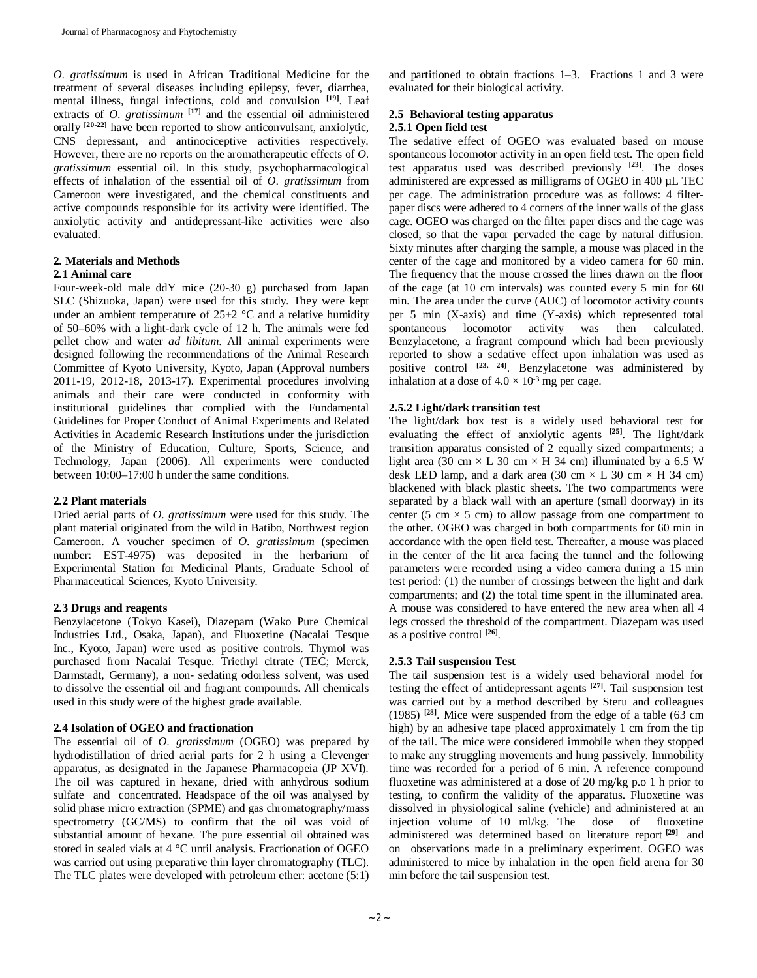*O*. *gratissimum* is used in African Traditional Medicine for the treatment of several diseases including epilepsy, fever, diarrhea, mental illness, fungal infections, cold and convulsion **[19]** . Leaf extracts of *O*. *gratissimum* **[17]** and the essential oil administered extracts or *O. granssman* and the essential or the matter orally  $[20-22]$  have been reported to show anticonvulsant, anxiolytic, CNS depressant, and antinociceptive activities respectively. However, there are no reports on the aromatherapeutic effects of *O*. *gratissimum* essential oil. In this study, psychopharmacological effects of inhalation of the essential oil of *O*. *gratissimum* from Cameroon were investigated, and the chemical constituents and active compounds responsible for its activity were identified. The anxiolytic activity and antidepressant-like activities were also evaluated.

## **2. Materials and Methods**

## **2.1 Animal care**

Four-week-old male ddY mice (20-30 g) purchased from Japan SLC (Shizuoka, Japan) were used for this study. They were kept under an ambient temperature of  $25\pm2$  °C and a relative humidity of 50–60% with a light-dark cycle of 12 h. The animals were fed pellet chow and water *ad libitum*. All animal experiments were designed following the recommendations of the Animal Research Committee of Kyoto University, Kyoto, Japan (Approval numbers 2011-19, 2012-18, 2013-17). Experimental procedures involving animals and their care were conducted in conformity with institutional guidelines that complied with the Fundamental Guidelines for Proper Conduct of Animal Experiments and Related Activities in Academic Research Institutions under the jurisdiction of the Ministry of Education, Culture, Sports, Science, and Technology, Japan (2006). All experiments were conducted between 10:00–17:00 h under the same conditions.

## **2.2 Plant materials**

Dried aerial parts of *O*. *gratissimum* were used for this study. The plant material originated from the wild in Batibo, Northwest region Cameroon. A voucher specimen of *O*. *gratissimum* (specimen number: EST-4975) was deposited in the herbarium of Experimental Station for Medicinal Plants, Graduate School of Pharmaceutical Sciences, Kyoto University.

#### **2.3 Drugs and reagents**

Benzylacetone (Tokyo Kasei), Diazepam (Wako Pure Chemical Industries Ltd., Osaka, Japan), and Fluoxetine (Nacalai Tesque Inc., Kyoto, Japan) were used as positive controls. Thymol was purchased from Nacalai Tesque. Triethyl citrate (TEC; Merck, Darmstadt, Germany), a non- sedating odorless solvent, was used to dissolve the essential oil and fragrant compounds. All chemicals used in this study were of the highest grade available.

## **2.4 Isolation of OGEO and fractionation**

The essential oil of *O*. *gratissimum* (OGEO) was prepared by hydrodistillation of dried aerial parts for 2 h using a Clevenger apparatus, as designated in the Japanese Pharmacopeia (JP XVΙ). The oil was captured in hexane, dried with anhydrous sodium sulfate and concentrated. Headspace of the oil was analysed by solid phase micro extraction (SPME) and gas chromatography/mass spectrometry (GC/MS) to confirm that the oil was void of substantial amount of hexane. The pure essential oil obtained was stored in sealed vials at 4 °C until analysis. Fractionation of OGEO was carried out using preparative thin layer chromatography (TLC). The TLC plates were developed with petroleum ether: acetone (5:1)

and partitioned to obtain fractions 1–3. Fractions 1 and 3 were evaluated for their biological activity.

#### **2.5 Behavioral testing apparatus 2.5.1 Open field test**

The sedative effect of OGEO was evaluated based on mouse spontaneous locomotor activity in an open field test. The open field test apparatus used was described previously **[23]** . The doses administered are expressed as milligrams of OGEO in 400 µL TEC per cage. The administration procedure was as follows: 4 filterpaper discs were adhered to 4 corners of the inner walls of the glass cage. OGEO was charged on the filter paper discs and the cage was closed, so that the vapor pervaded the cage by natural diffusion. Sixty minutes after charging the sample, a mouse was placed in the center of the cage and monitored by a video camera for 60 min. The frequency that the mouse crossed the lines drawn on the floor of the cage (at 10 cm intervals) was counted every 5 min for 60 min. The area under the curve (AUC) of locomotor activity counts per 5 min (X-axis) and time (Y-axis) which represented total spontaneous locomotor activity was then calculated. Benzylacetone, a fragrant compound which had been previously reported to show a sedative effect upon inhalation was used as positive control **[23, 24]** . Benzylacetone was administered by inhalation at a dose of  $4.0 \times 10^{-3}$  mg per cage.

## **2.5.2 Light/dark transition test**

The light/dark box test is a widely used behavioral test for evaluating the effect of anxiolytic agents **[25]**. The light/dark transition apparatus consisted of 2 equally sized compartments; a light area (30 cm  $\times$  L 30 cm  $\times$  H 34 cm) illuminated by a 6.5 W desk LED lamp, and a dark area (30 cm  $\times$  L 30 cm  $\times$  H 34 cm) blackened with black plastic sheets. The two compartments were separated by a black wall with an aperture (small doorway) in its center (5 cm  $\times$  5 cm) to allow passage from one compartment to the other. OGEO was charged in both compartments for 60 min in accordance with the open field test. Thereafter, a mouse was placed in the center of the lit area facing the tunnel and the following parameters were recorded using a video camera during a 15 min test period: (1) the number of crossings between the light and dark compartments; and (2) the total time spent in the illuminated area. A mouse was considered to have entered the new area when all 4 legs crossed the threshold of the compartment. Diazepam was used as a positive control **[26]** .

## **2.5.3 Tail suspension Test**

The tail suspension test is a widely used behavioral model for testing the effect of antidepressant agents **[27]** . Tail suspension test was carried out by a method described by Steru and colleagues (1985) **[28]** . Mice were suspended from the edge of a table (63 cm high) by an adhesive tape placed approximately 1 cm from the tip of the tail. The mice were considered immobile when they stopped to make any struggling movements and hung passively. Immobility time was recorded for a period of 6 min. A reference compound fluoxetine was administered at a dose of 20 mg/kg p.o 1 h prior to testing, to confirm the validity of the apparatus. Fluoxetine was dissolved in physiological saline (vehicle) and administered at an injection volume of 10 ml/kg. The dose of fluoxetine administered was determined based on literature report **[29]** and on observations made in a preliminary experiment. OGEO was administered to mice by inhalation in the open field arena for 30 min before the tail suspension test.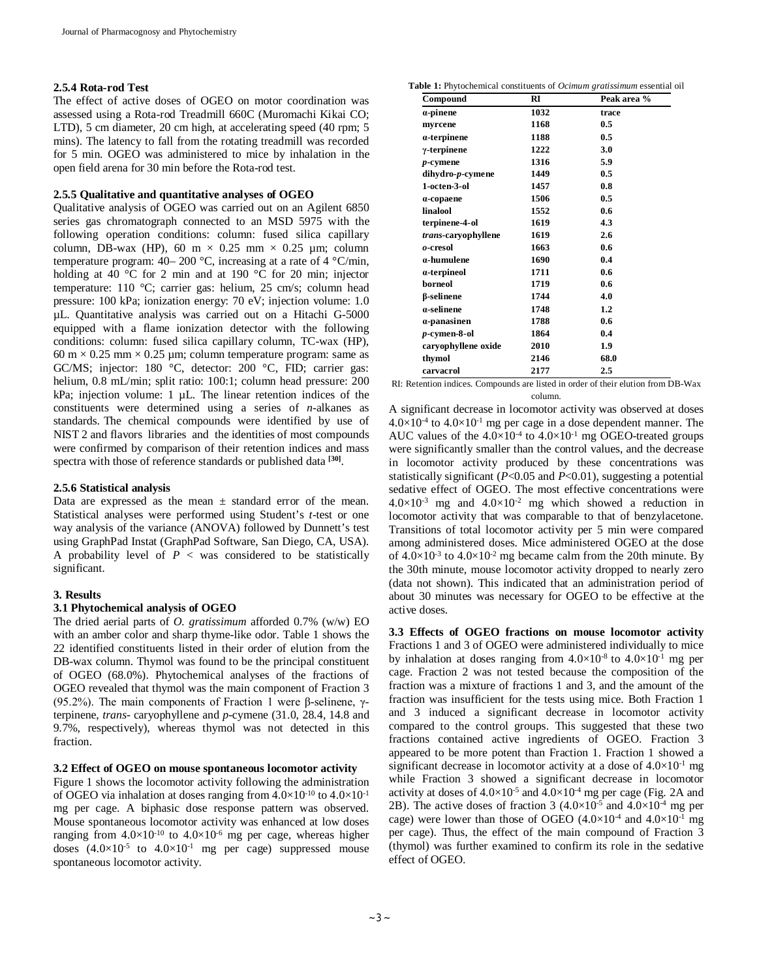#### **2.5.4 Rota-rod Test**

The effect of active doses of OGEO on motor coordination was assessed using a Rota-rod Treadmill 660C (Muromachi Kikai CO; LTD), 5 cm diameter, 20 cm high, at accelerating speed (40 rpm; 5 mins). The latency to fall from the rotating treadmill was recorded for 5 min. OGEO was administered to mice by inhalation in the open field arena for 30 min before the Rota-rod test.

#### **2.5.5 Qualitative and quantitative analyses of OGEO**

Qualitative analysis of OGEO was carried out on an Agilent 6850 series gas chromatograph connected to an MSD 5975 with the following operation conditions: column: fused silica capillary column, DB-wax (HP), 60 m  $\times$  0.25 mm  $\times$  0.25 µm; column temperature program: 40– 200 °C, increasing at a rate of 4 °C/min, holding at 40 °C for 2 min and at 190 °C for 20 min; injector temperature: 110 °C; carrier gas: helium, 25 cm/s; column head pressure: 100 kPa; ionization energy: 70 eV; injection volume: 1.0 µL. Quantitative analysis was carried out on a Hitachi G-5000 equipped with a flame ionization detector with the following conditions: column: fused silica capillary column, TC-wax (HP),  $60 \text{ m} \times 0.25 \text{ mm} \times 0.25 \text{ µm}$ ; column temperature program: same as GC/MS; injector: 180 °C, detector: 200 °C, FID; carrier gas: helium, 0.8 mL/min; split ratio: 100:1; column head pressure: 200 kPa; injection volume: 1 µL. The linear retention indices of the constituents were determined using a series of *n*-alkanes as standards. The chemical compounds were identified by use of NIST 2 and flavors libraries and the identities of most compounds were confirmed by comparison of their retention indices and mass spectra with those of reference standards or published data **[30]** .

## **2.5.6 Statistical analysis**

Data are expressed as the mean  $\pm$  standard error of the mean. Statistical analyses were performed using Student's *t*-test or one way analysis of the variance (ANOVA) followed by Dunnett's test using GraphPad Instat (GraphPad Software, San Diego, CA, USA). A probability level of  $P <$  was considered to be statistically significant.

#### **3. Results**

#### **3.1 Phytochemical analysis of OGEO**

The dried aerial parts of *O. gratissimum* afforded 0.7% (w/w) EO with an amber color and sharp thyme-like odor. Table 1 shows the 22 identified constituents listed in their order of elution from the DB-wax column. Thymol was found to be the principal constituent of OGEO (68.0%). Phytochemical analyses of the fractions of OGEO revealed that thymol was the main component of Fraction 3 (95.2%). The main components of Fraction 1 were β-selinene, γterpinene, *trans-* caryophyllene and *p*-cymene (31.0, 28.4, 14.8 and 9.7%, respectively), whereas thymol was not detected in this fraction.

#### **3.2 Effect of OGEO on mouse spontaneous locomotor activity**

Figure 1 shows the locomotor activity following the administration of OGEO via inhalation at doses ranging from  $4.0\times10^{-10}$  to  $4.0\times10^{-1}$ mg per cage. A biphasic dose response pattern was observed. Mouse spontaneous locomotor activity was enhanced at low doses ranging from  $4.0 \times 10^{-10}$  to  $4.0 \times 10^{-6}$  mg per cage, whereas higher doses  $(4.0\times10^{-5}$  to  $4.0\times10^{-1}$  mg per cage) suppressed mouse spontaneous locomotor activity.

**Table 1:** Phytochemical constituents of *Ocimum gratissimum* essential oil

| Compound            | RI   | Peak area % |
|---------------------|------|-------------|
| $\alpha$ -pinene    | 1032 | trace       |
| myrcene             | 1168 | 0.5         |
| a-terpinene         | 1188 | 0.5         |
| $\gamma$ -terpinene | 1222 | 3.0         |
| $p$ -cymene         | 1316 | 5.9         |
| dihydro-p-cymene    | 1449 | 0.5         |
| 1-octen-3-ol        | 1457 | 0.8         |
| $\alpha$ -copaene   | 1506 | 0.5         |
| linalool            | 1552 | 0.6         |
| terpinene-4-ol      | 1619 | 4.3         |
| trans-caryophyllene | 1619 | 2.6         |
| o-cresol            | 1663 | 0.6         |
| a-humulene          | 1690 | 0.4         |
| a-terpineol         | 1711 | 0.6         |
| borneol             | 1719 | 0.6         |
| β-selinene          | 1744 | 4.0         |
| a-selinene          | 1748 | 1.2         |
| a-panasinen         | 1788 | 0.6         |
| p-cymen-8-ol        | 1864 | 0.4         |
| caryophyllene oxide | 2010 | 1.9         |
| thymol              | 2146 | 68.0        |
| carvacrol           | 2177 | 2.5         |

RI: Retention indices. Compounds are listed in order of their elution from DB-Wax column.

A significant decrease in locomotor activity was observed at doses  $4.0\times10^{-4}$  to  $4.0\times10^{-1}$  mg per cage in a dose dependent manner. The AUC values of the  $4.0 \times 10^{-4}$  to  $4.0 \times 10^{-1}$  mg OGEO-treated groups were significantly smaller than the control values, and the decrease in locomotor activity produced by these concentrations was statistically significant (*P*<0.05 and *P*<0.01), suggesting a potential sedative effect of OGEO. The most effective concentrations were  $4.0\times10^{-3}$  mg and  $4.0\times10^{-2}$  mg which showed a reduction in locomotor activity that was comparable to that of benzylacetone. Transitions of total locomotor activity per 5 min were compared among administered doses. Mice administered OGEO at the dose of  $4.0 \times 10^{-3}$  to  $4.0 \times 10^{-2}$  mg became calm from the 20th minute. By the 30th minute, mouse locomotor activity dropped to nearly zero (data not shown). This indicated that an administration period of about 30 minutes was necessary for OGEO to be effective at the active doses.

**3.3 Effects of OGEO fractions on mouse locomotor activity** Fractions 1 and 3 of OGEO were administered individually to mice by inhalation at doses ranging from  $4.0\times10^{-8}$  to  $4.0\times10^{-1}$  mg per cage. Fraction 2 was not tested because the composition of the fraction was a mixture of fractions 1 and 3, and the amount of the fraction was insufficient for the tests using mice. Both Fraction 1 and 3 induced a significant decrease in locomotor activity compared to the control groups. This suggested that these two fractions contained active ingredients of OGEO. Fraction 3 appeared to be more potent than Fraction 1. Fraction 1 showed a significant decrease in locomotor activity at a dose of  $4.0 \times 10^{-1}$  mg while Fraction 3 showed a significant decrease in locomotor activity at doses of  $4.0\times10^{-5}$  and  $4.0\times10^{-4}$  mg per cage (Fig. 2A and 2B). The active doses of fraction 3  $(4.0\times10^{-5}$  and  $4.0\times10^{-4}$  mg per cage) were lower than those of OGEO  $(4.0\times10^{4}$  and  $4.0\times10^{1}$  mg per cage). Thus, the effect of the main compound of Fraction 3 (thymol) was further examined to confirm its role in the sedative effect of OGEO.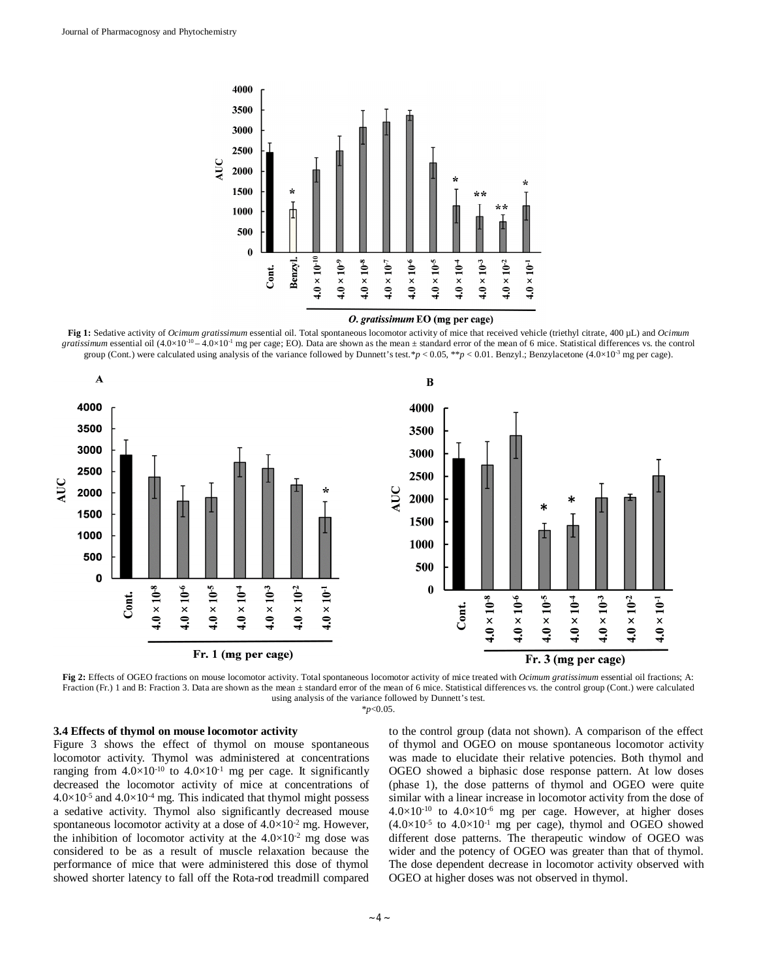

#### O. gratissimum EO (mg per cage)

**Fig 1:** Sedative activity of *Ocimum gratissimum* essential oil. Total spontaneous locomotor activity of mice that received vehicle (triethyl citrate, 400 µL) and *Ocimum gratissimum* essential oil  $(4.0 \times 10^{-10} - 4.0 \times 10^{-1}$  mg per cage; EO). Data are shown as the mean  $\pm$  standard error of the mean of 6 mice. Statistical differences vs. the control group (Cont.) were calculated using analysis of the variance followed by Dunnett's test. $\ast p < 0.05$ ,  $\ast \ast p < 0.01$ . Benzyl.; Benzylacetone (4.0×10<sup>-3</sup> mg per cage).



**Fig 2:** Effects of OGEO fractions on mouse locomotor activity. Total spontaneous locomotor activity of mice treated with *Ocimum gratissimum* essential oil fractions; A: Fraction (Fr.) 1 and B: Fraction 3. Data are shown as the mean ± standard error of the mean of 6 mice. Statistical differences vs. the control group (Cont.) were calculated using analysis of the variance followed by Dunnett's test.

\**p*<0.05.

## **3.4 Effects of thymol on mouse locomotor activity**

Figure 3 shows the effect of thymol on mouse spontaneous locomotor activity. Thymol was administered at concentrations ranging from  $4.0 \times 10^{-10}$  to  $4.0 \times 10^{-1}$  mg per cage. It significantly decreased the locomotor activity of mice at concentrations of  $4.0\times10^{-5}$  and  $4.0\times10^{-4}$  mg. This indicated that thymol might possess a sedative activity. Thymol also significantly decreased mouse spontaneous locomotor activity at a dose of  $4.0 \times 10^{-2}$  mg. However, the inhibition of locomotor activity at the  $4.0\times10^{-2}$  mg dose was considered to be as a result of muscle relaxation because the performance of mice that were administered this dose of thymol showed shorter latency to fall off the Rota-rod treadmill compared

to the control group (data not shown). A comparison of the effect of thymol and OGEO on mouse spontaneous locomotor activity was made to elucidate their relative potencies. Both thymol and OGEO showed a biphasic dose response pattern. At low doses (phase 1), the dose patterns of thymol and OGEO were quite similar with a linear increase in locomotor activity from the dose of  $4.0\times10^{-10}$  to  $4.0\times10^{-6}$  mg per cage. However, at higher doses  $(4.0\times10^{-5}$  to  $4.0\times10^{-1}$  mg per cage), thymol and OGEO showed different dose patterns. The therapeutic window of OGEO was wider and the potency of OGEO was greater than that of thymol. The dose dependent decrease in locomotor activity observed with OGEO at higher doses was not observed in thymol.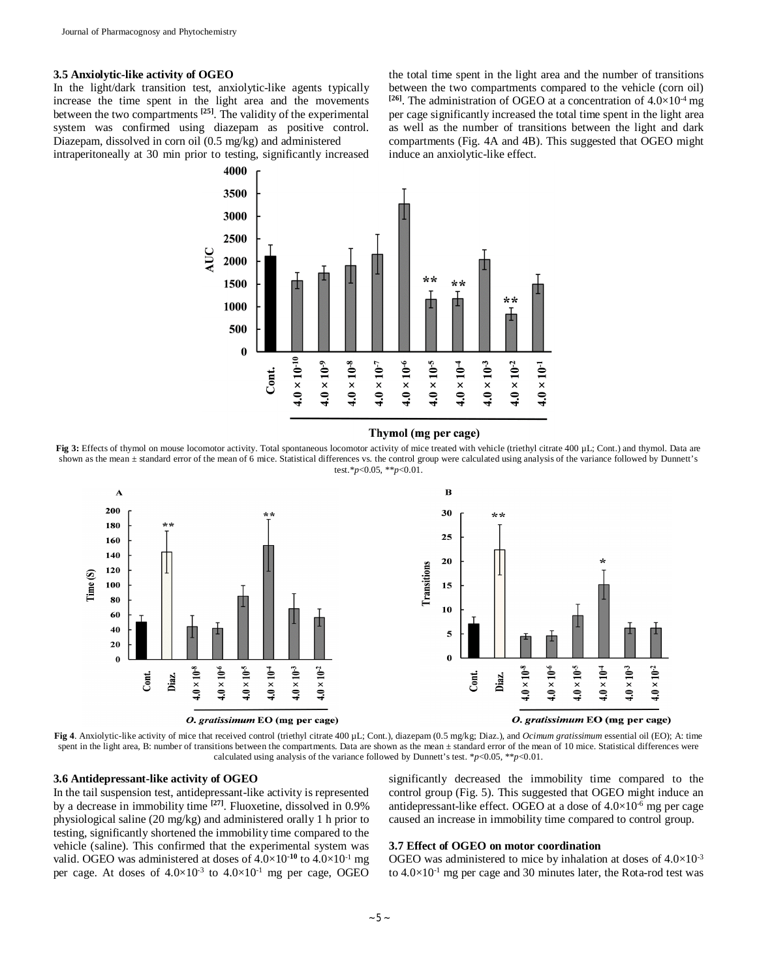## **3.5 Anxiolytic-like activity of OGEO**

In the light/dark transition test, anxiolytic-like agents typically increase the time spent in the light area and the movements between the two compartments **[25]** . The validity of the experimental system was confirmed using diazepam as positive control. Diazepam, dissolved in corn oil (0.5 mg/kg) and administered intraperitoneally at 30 min prior to testing, significantly increased the total time spent in the light area and the number of transitions between the two compartments compared to the vehicle (corn oil) <sup>[26]</sup>. The administration of OGEO at a concentration of  $4.0 \times 10^{-4}$  mg per cage significantly increased the total time spent in the light area as well as the number of transitions between the light and dark compartments (Fig. 4A and 4B). This suggested that OGEO might induce an anxiolytic-like effect.



#### Thymol (mg per cage)

Fig 3: Effects of thymol on mouse locomotor activity. Total spontaneous locomotor activity of mice treated with vehicle (triethyl citrate 400 µL; Cont.) and thymol. Data are shown as the mean ± standard error of the mean of 6 mice. Statistical differences vs. the control group were calculated using analysis of the variance followed by Dunnett's test.\**p*<0.05, \*\**p*<0.01.



**Fig 4**. Anxiolytic-like activity of mice that received control (triethyl citrate 400 µL; Cont.), diazepam (0.5 mg/kg; Diaz.), and *Ocimum gratissimum* essential oil (EO); A: time spent in the light area, B: number of transitions between the compartments. Data are shown as the mean  $\pm$  standard error of the mean of 10 mice. Statistical differences were calculated using analysis of the variance followed by Dunnett's test.  $\frac{*p}{0.05}$ ,  $\frac{*p}{0.01}$ .

### **3.6 Antidepressant-like activity of OGEO**

In the tail suspension test, antidepressant-like activity is represented by a decrease in immobility time **[27]** . Fluoxetine, dissolved in 0.9% physiological saline (20 mg/kg) and administered orally 1 h prior to testing, significantly shortened the immobility time compared to the vehicle (saline). This confirmed that the experimental system was valid. OGEO was administered at doses of 4.0×10**-10** to 4.0×10-1 mg per cage. At doses of  $4.0 \times 10^{-3}$  to  $4.0 \times 10^{-1}$  mg per cage, OGEO significantly decreased the immobility time compared to the control group (Fig. 5). This suggested that OGEO might induce an antidepressant-like effect. OGEO at a dose of  $4.0 \times 10^{-6}$  mg per cage caused an increase in immobility time compared to control group.

#### **3.7 Effect of OGEO on motor coordination**

OGEO was administered to mice by inhalation at doses of  $4.0\times10^{-3}$ to  $4.0 \times 10^{-1}$  mg per cage and 30 minutes later, the Rota-rod test was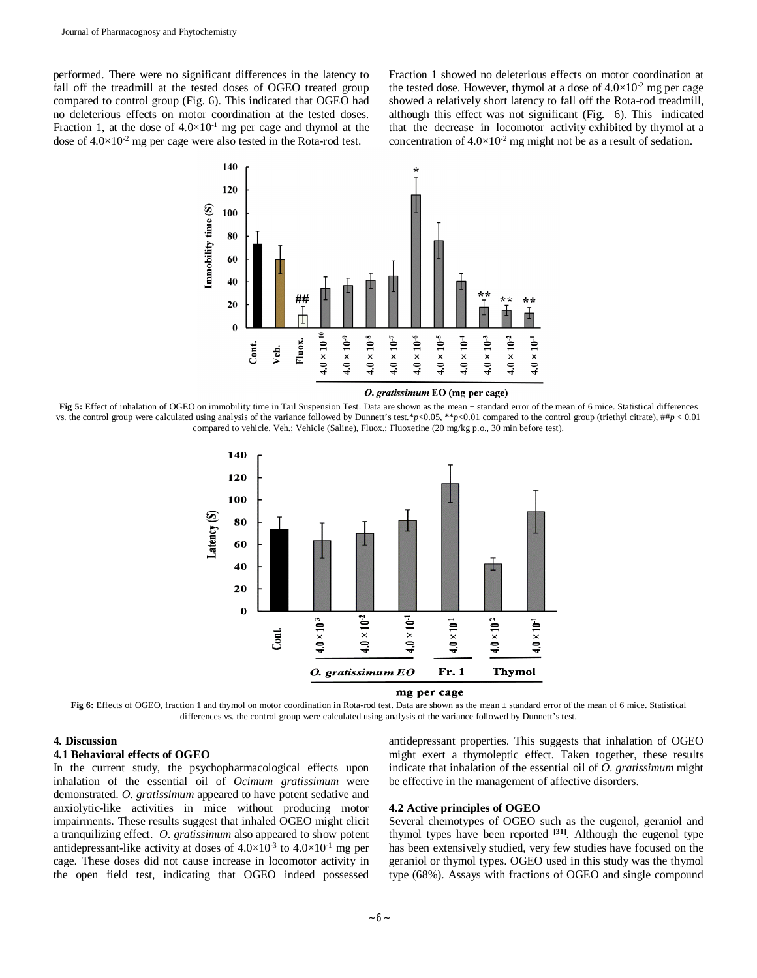performed. There were no significant differences in the latency to fall off the treadmill at the tested doses of OGEO treated group compared to control group (Fig. 6). This indicated that OGEO had no deleterious effects on motor coordination at the tested doses. Fraction 1, at the dose of  $4.0 \times 10^{-1}$  mg per cage and thymol at the dose of  $4.0 \times 10^{-2}$  mg per cage were also tested in the Rota-rod test.

Fraction 1 showed no deleterious effects on motor coordination at the tested dose. However, thymol at a dose of  $4.0\times10^{-2}$  mg per cage showed a relatively short latency to fall off the Rota-rod treadmill, although this effect was not significant (Fig. 6). This indicated that the decrease in locomotor activity exhibited by thymol at a concentration of  $4.0 \times 10^{-2}$  mg might not be as a result of sedation.



**Fig 5:** Effect of inhalation of OGEO on immobility time in Tail Suspension Test. Data are shown as the mean ± standard error of the mean of 6 mice. Statistical differences vs. the control group were calculated using analysis of the variance followed by Dunnett's test.\**p*<0.05, \*\**p*<0.01 compared to the control group (triethyl citrate), ##*p* < 0.01 compared to vehicle. Veh.; Vehicle (Saline), Fluox.; Fluoxetine (20 mg/kg p.o., 30 min before test).



Fig 6: Effects of OGEO, fraction 1 and thymol on motor coordination in Rota-rod test. Data are shown as the mean  $\pm$  standard error of the mean of 6 mice. Statistical differences vs. the control group were calculated using analysis of the variance followed by Dunnett's test.

## **4. Discussion**

#### **4.1 Behavioral effects of OGEO**

In the current study, the psychopharmacological effects upon inhalation of the essential oil of *Ocimum gratissimum* were demonstrated. *O*. *gratissimum* appeared to have potent sedative and anxiolytic-like activities in mice without producing motor impairments. These results suggest that inhaled OGEO might elicit a tranquilizing effect. *O*. *gratissimum* also appeared to show potent antidepressant-like activity at doses of  $4.0\times10^{-3}$  to  $4.0\times10^{-1}$  mg per cage. These doses did not cause increase in locomotor activity in the open field test, indicating that OGEO indeed possessed

## antidepressant properties. This suggests that inhalation of OGEO might exert a thymoleptic effect. Taken together, these results indicate that inhalation of the essential oil of *O*. *gratissimum* might be effective in the management of affective disorders.

#### **4.2 Active principles of OGEO**

Several chemotypes of OGEO such as the eugenol, geraniol and thymol types have been reported **[31]** . Although the eugenol type has been extensively studied, very few studies have focused on the geraniol or thymol types. OGEO used in this study was the thymol type (68%). Assays with fractions of OGEO and single compound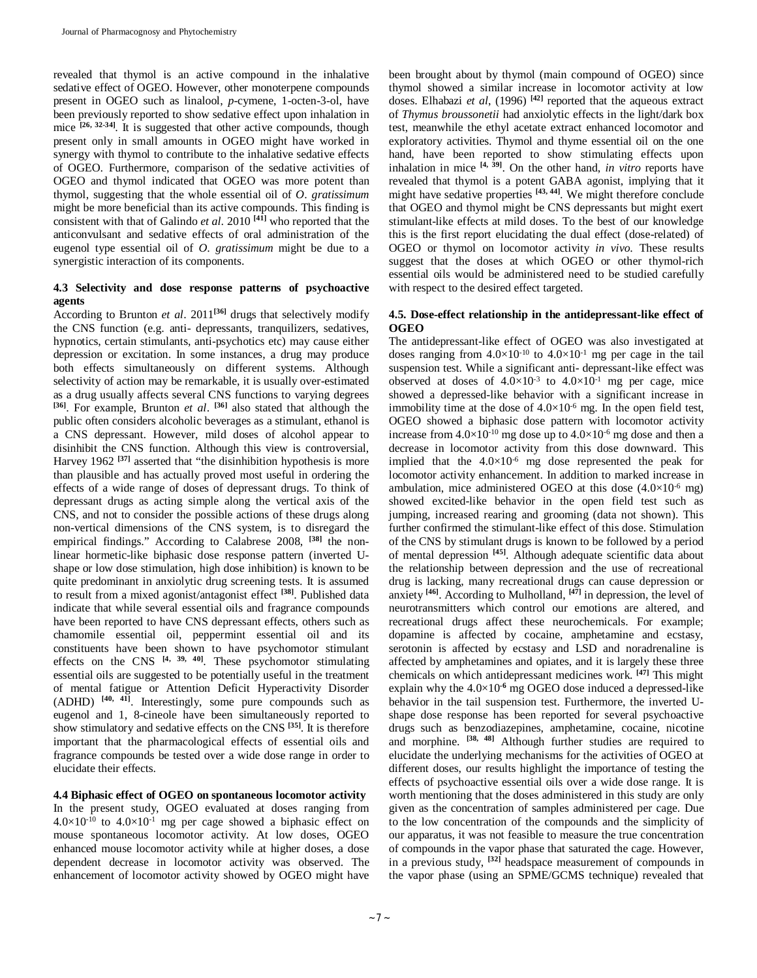revealed that thymol is an active compound in the inhalative sedative effect of OGEO. However, other monoterpene compounds present in OGEO such as linalool, *p*-cymene, 1-octen-3-ol, have been previously reported to show sedative effect upon inhalation in mice **[26, 32-34]**. It is suggested that other active compounds, though present only in small amounts in OGEO might have worked in synergy with thymol to contribute to the inhalative sedative effects of OGEO. Furthermore, comparison of the sedative activities of OGEO and thymol indicated that OGEO was more potent than thymol, suggesting that the whole essential oil of *O*. *gratissimum*  might be more beneficial than its active compounds. This finding is consistent with that of Galindo *et al*. 2010 **[41]** who reported that the anticonvulsant and sedative effects of oral administration of the eugenol type essential oil of *O*. *gratissimum* might be due to a synergistic interaction of its components.

## **4.3 Selectivity and dose response patterns of psychoactive agents**

According to Brunton *et al*. 2011**[36]** drugs that selectively modify the CNS function (e.g. anti- depressants, tranquilizers, sedatives, hypnotics, certain stimulants, anti-psychotics etc) may cause either depression or excitation. In some instances, a drug may produce both effects simultaneously on different systems. Although selectivity of action may be remarkable, it is usually over-estimated as a drug usually affects several CNS functions to varying degrees **[36]**. For example, Brunton *et al*. **[36]** also stated that although the public often considers alcoholic beverages as a stimulant, ethanol is a CNS depressant. However, mild doses of alcohol appear to disinhibit the CNS function. Although this view is controversial, Harvey 1962 **[37]** asserted that "the disinhibition hypothesis is more than plausible and has actually proved most useful in ordering the effects of a wide range of doses of depressant drugs. To think of depressant drugs as acting simple along the vertical axis of the CNS, and not to consider the possible actions of these drugs along non-vertical dimensions of the CNS system, is to disregard the empirical findings." According to Calabrese 2008, **[38]** the nonlinear hormetic-like biphasic dose response pattern (inverted Ushape or low dose stimulation, high dose inhibition) is known to be quite predominant in anxiolytic drug screening tests. It is assumed to result from a mixed agonist/antagonist effect **[38]** . Published data indicate that while several essential oils and fragrance compounds have been reported to have CNS depressant effects, others such as chamomile essential oil, peppermint essential oil and its constituents have been shown to have psychomotor stimulant effects on the CNS **[4, 39, 40]** . These psychomotor stimulating essential oils are suggested to be potentially useful in the treatment of mental fatigue or Attention Deficit Hyperactivity Disorder (ADHD) **[40, 41]** . Interestingly, some pure compounds such as eugenol and 1, 8-cineole have been simultaneously reported to show stimulatory and sedative effects on the CNS **[35]** . It is therefore important that the pharmacological effects of essential oils and fragrance compounds be tested over a wide dose range in order to elucidate their effects.

**4.4 Biphasic effect of OGEO on spontaneous locomotor activity** In the present study, OGEO evaluated at doses ranging from  $4.0\times10^{-10}$  to  $4.0\times10^{-1}$  mg per cage showed a biphasic effect on mouse spontaneous locomotor activity. At low doses, OGEO enhanced mouse locomotor activity while at higher doses, a dose dependent decrease in locomotor activity was observed. The enhancement of locomotor activity showed by OGEO might have been brought about by thymol (main compound of OGEO) since thymol showed a similar increase in locomotor activity at low doses. Elhabazi *et al*, (1996) **[42]** reported that the aqueous extract of *Thymus broussonetii* had anxiolytic effects in the light/dark box test, meanwhile the ethyl acetate extract enhanced locomotor and exploratory activities. Thymol and thyme essential oil on the one hand, have been reported to show stimulating effects upon inhalation in mice  $[4, 39]$ . On the other hand, *in vitro* reports have revealed that thymol is a potent GABA agonist, implying that it might have sedative properties **[43, 44]** . We might therefore conclude that OGEO and thymol might be CNS depressants but might exert stimulant-like effects at mild doses. To the best of our knowledge this is the first report elucidating the dual effect (dose-related) of OGEO or thymol on locomotor activity *in vivo*. These results suggest that the doses at which OGEO or other thymol-rich essential oils would be administered need to be studied carefully with respect to the desired effect targeted.

## **4.5. Dose-effect relationship in the antidepressant-like effect of OGEO**

The antidepressant-like effect of OGEO was also investigated at doses ranging from  $4.0 \times 10^{-10}$  to  $4.0 \times 10^{-1}$  mg per cage in the tail suspension test. While a significant anti- depressant-like effect was observed at doses of  $4.0 \times 10^{-3}$  to  $4.0 \times 10^{-1}$  mg per cage, mice showed a depressed-like behavior with a significant increase in immobility time at the dose of  $4.0 \times 10^{-6}$  mg. In the open field test, OGEO showed a biphasic dose pattern with locomotor activity increase from  $4.0 \times 10^{-10}$  mg dose up to  $4.0 \times 10^{-6}$  mg dose and then a decrease in locomotor activity from this dose downward. This implied that the  $4.0 \times 10^{-6}$  mg dose represented the peak for locomotor activity enhancement. In addition to marked increase in ambulation, mice administered OGEO at this dose  $(4.0\times10^{-6} \text{ mg})$ showed excited-like behavior in the open field test such as jumping, increased rearing and grooming (data not shown). This further confirmed the stimulant-like effect of this dose. Stimulation of the CNS by stimulant drugs is known to be followed by a period of mental depression **[45]**. Although adequate scientific data about the relationship between depression and the use of recreational drug is lacking, many recreational drugs can cause depression or anxiety **[46]**. According to Mulholland, **[47]** in depression, the level of neurotransmitters which control our emotions are altered, and recreational drugs affect these neurochemicals. For example; dopamine is affected by cocaine, amphetamine and ecstasy, serotonin is affected by ecstasy and LSD and noradrenaline is affected by amphetamines and opiates, and it is largely these three chemicals on which antidepressant medicines work. **[47]** This might explain why the  $4.0 \times 10^{-6}$  mg OGEO dose induced a depressed-like behavior in the tail suspension test. Furthermore, the inverted Ushape dose response has been reported for several psychoactive drugs such as benzodiazepines, amphetamine, cocaine, nicotine and morphine. **[38, 48]** Although further studies are required to elucidate the underlying mechanisms for the activities of OGEO at different doses, our results highlight the importance of testing the effects of psychoactive essential oils over a wide dose range. It is worth mentioning that the doses administered in this study are only given as the concentration of samples administered per cage. Due to the low concentration of the compounds and the simplicity of our apparatus, it was not feasible to measure the true concentration of compounds in the vapor phase that saturated the cage. However, in a previous study, **[32]** headspace measurement of compounds in the vapor phase (using an SPME/GCMS technique) revealed that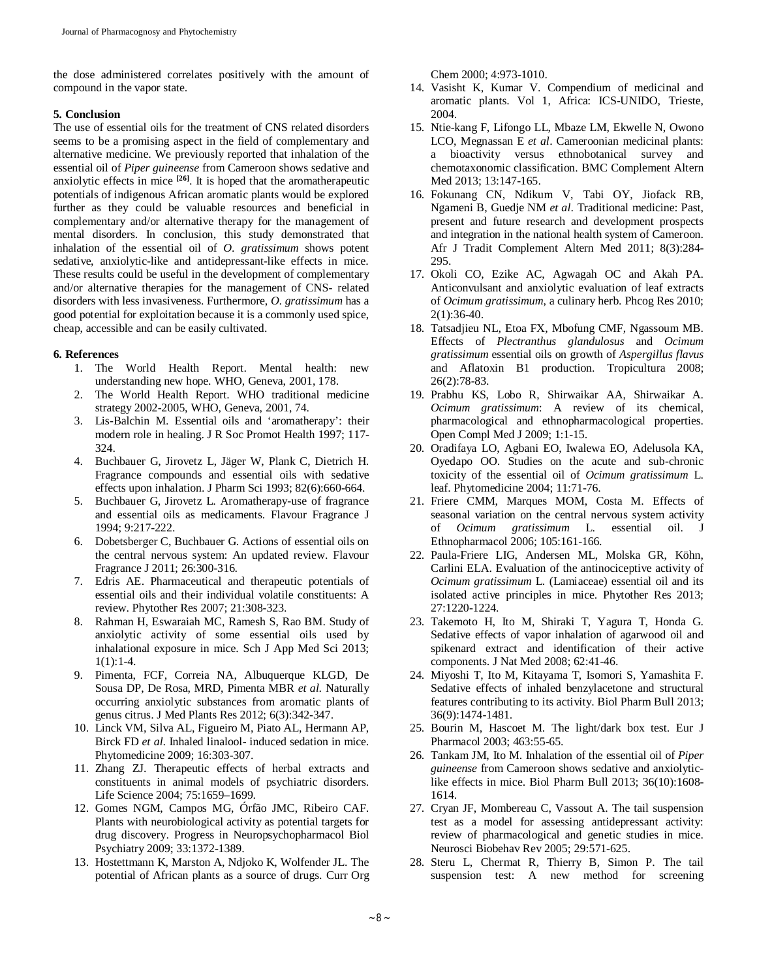the dose administered correlates positively with the amount of compound in the vapor state.

## **5. Conclusion**

The use of essential oils for the treatment of CNS related disorders seems to be a promising aspect in the field of complementary and alternative medicine. We previously reported that inhalation of the essential oil of *Piper guineense* from Cameroon shows sedative and anxiolytic effects in mice **[26]** . It is hoped that the aromatherapeutic potentials of indigenous African aromatic plants would be explored further as they could be valuable resources and beneficial in complementary and/or alternative therapy for the management of mental disorders. In conclusion, this study demonstrated that inhalation of the essential oil of *O*. *gratissimum* shows potent sedative, anxiolytic-like and antidepressant-like effects in mice. These results could be useful in the development of complementary and/or alternative therapies for the management of CNS- related disorders with less invasiveness. Furthermore, *O*. *gratissimum* has a good potential for exploitation because it is a commonly used spice, cheap, accessible and can be easily cultivated.

## **6. References**

- 1. The World Health Report. Mental health: new understanding new hope. WHO, Geneva, 2001, 178.
- 2. The World Health Report. WHO traditional medicine strategy 2002-2005, WHO, Geneva, 2001, 74.
- 3. Lis-Balchin M. Essential oils and 'aromatherapy': their modern role in healing. J R Soc Promot Health 1997; 117- 324.
- 4. Buchbauer G, Jirovetz L, Jäger W, Plank C, Dietrich H. Fragrance compounds and essential oils with sedative effects upon inhalation. J Pharm Sci 1993; 82(6):660-664.
- 5. Buchbauer G, Jirovetz L. Aromatherapy-use of fragrance and essential oils as medicaments. Flavour Fragrance J 1994; 9:217-222.
- 6. Dobetsberger C, Buchbauer G. Actions of essential oils on the central nervous system: An updated review. Flavour Fragrance J 2011; 26:300-316.
- 7. Edris AE. Pharmaceutical and therapeutic potentials of essential oils and their individual volatile constituents: A review. Phytother Res 2007; 21:308-323.
- 8. Rahman H, Eswaraiah MC, Ramesh S, Rao BM. Study of anxiolytic activity of some essential oils used by inhalational exposure in mice. Sch J App Med Sci 2013;  $1(1):1-4.$
- 9. Pimenta, FCF, Correia NA, Albuquerque KLGD, De Sousa DP, De Rosa, MRD, Pimenta MBR *et al*. Naturally occurring anxiolytic substances from aromatic plants of genus citrus. J Med Plants Res 2012; 6(3):342-347.
- 10. Linck VM, Silva AL, Figueiro M, Piato AL, Hermann AP, Birck FD *et al*. Inhaled linalool- induced sedation in mice. Phytomedicine 2009; 16:303-307.
- 11. Zhang ZJ. Therapeutic effects of herbal extracts and constituents in animal models of psychiatric disorders. Life Science 2004; 75:1659–1699.
- 12. Gomes NGM, Campos MG, Órfão JMC, Ribeiro CAF. Plants with neurobiological activity as potential targets for drug discovery. Progress in Neuropsychopharmacol Biol Psychiatry 2009; 33:1372-1389.
- 13. Hostettmann K, Marston A, Ndjoko K, Wolfender JL. The potential of African plants as a source of drugs. Curr Org

Chem 2000; 4:973-1010.

- 14. Vasisht K, Kumar V. Compendium of medicinal and aromatic plants. Vol 1, Africa: ICS-UNIDO, Trieste, 2004.
- 15. Ntie-kang F, Lifongo LL, Mbaze LM, Ekwelle N, Owono LCO, Megnassan E *et al*. Cameroonian medicinal plants: a bioactivity versus ethnobotanical survey and chemotaxonomic classification. BMC Complement Altern Med 2013; 13:147-165.
- 16. Fokunang CN, Ndikum V, Tabi OY, Jiofack RB, Ngameni B, Guedje NM *et al*. Traditional medicine: Past, present and future research and development prospects and integration in the national health system of Cameroon. Afr J Tradit Complement Altern Med 2011; 8(3):284- 295.
- 17. Okoli CO, Ezike AC, Agwagah OC and Akah PA. Anticonvulsant and anxiolytic evaluation of leaf extracts of *Ocimum gratissimum*, a culinary herb. Phcog Res 2010; 2(1):36-40.
- 18. Tatsadjieu NL, Etoa FX, Mbofung CMF, Ngassoum MB. Effects of *Plectranthus glandulosus* and *Ocimum gratissimum* essential oils on growth of *Aspergillus flavus*  and Aflatoxin B1 production. Tropicultura 2008; 26(2):78-83.
- 19. Prabhu KS, Lobo R, Shirwaikar AA, Shirwaikar A. *Ocimum gratissimum*: A review of its chemical, pharmacological and ethnopharmacological properties. Open Compl Med J 2009; 1:1-15.
- 20. Oradifaya LO, Agbani EO, Iwalewa EO, Adelusola KA, Oyedapo OO. Studies on the acute and sub-chronic toxicity of the essential oil of *Ocimum gratissimum* L. leaf. Phytomedicine 2004; 11:71-76.
- 21. Friere CMM, Marques MOM, Costa M. Effects of seasonal variation on the central nervous system activity of *Ocimum gratissimum* L. essential oil. J Ethnopharmacol 2006; 105:161-166.
- 22. Paula-Friere LIG, Andersen ML, Molska GR, Köhn, Carlini ELA. Evaluation of the antinociceptive activity of *Ocimum gratissimum* L. (Lamiaceae) essential oil and its isolated active principles in mice. Phytother Res 2013; 27:1220-1224.
- 23. Takemoto H, Ito M, Shiraki T, Yagura T, Honda G. Sedative effects of vapor inhalation of agarwood oil and spikenard extract and identification of their active components. J Nat Med 2008; 62:41-46.
- 24. Miyoshi T, Ito M, Kitayama T, Isomori S, Yamashita F. Sedative effects of inhaled benzylacetone and structural features contributing to its activity. Biol Pharm Bull 2013; 36(9):1474-1481.
- 25. Bourin M, Hascoet M. The light/dark box test. Eur J Pharmacol 2003; 463:55-65.
- 26. Tankam JM, Ito M. Inhalation of the essential oil of *Piper guineense* from Cameroon shows sedative and anxiolyticlike effects in mice. Biol Pharm Bull 2013; 36(10):1608- 1614.
- 27. Cryan JF, Mombereau C, Vassout A. The tail suspension test as a model for assessing antidepressant activity: review of pharmacological and genetic studies in mice. Neurosci Biobehav Rev 2005; 29:571-625.
- 28. Steru L, Chermat R, Thierry B, Simon P. The tail suspension test: A new method for screening